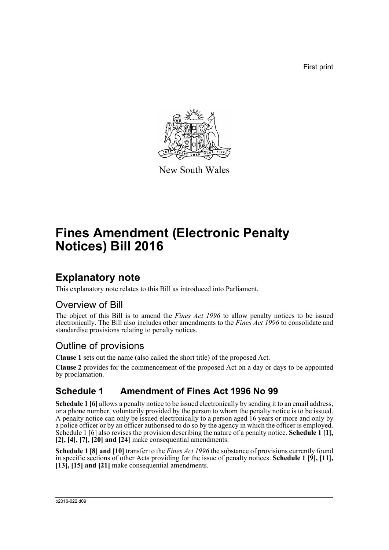First print



New South Wales

# **Fines Amendment (Electronic Penalty Notices) Bill 2016**

### **Explanatory note**

This explanatory note relates to this Bill as introduced into Parliament.

#### Overview of Bill

The object of this Bill is to amend the *Fines Act 1996* to allow penalty notices to be issued electronically. The Bill also includes other amendments to the *Fines Act 1996* to consolidate and standardise provisions relating to penalty notices.

### Outline of provisions

**Clause 1** sets out the name (also called the short title) of the proposed Act.

**Clause 2** provides for the commencement of the proposed Act on a day or days to be appointed by proclamation.

### **Schedule 1 Amendment of Fines Act 1996 No 99**

**Schedule 1 [6]** allows a penalty notice to be issued electronically by sending it to an email address, or a phone number, voluntarily provided by the person to whom the penalty notice is to be issued. A penalty notice can only be issued electronically to a person aged 16 years or more and only by a police officer or by an officer authorised to do so by the agency in which the officer is employed. Schedule 1 [6] also revises the provision describing the nature of a penalty notice. **Schedule 1 [1], [2], [4], [7], [20] and [24]** make consequential amendments.

**Schedule 1 [8] and [10]** transfer to the *Fines Act 1996* the substance of provisions currently found in specific sections of other Acts providing for the issue of penalty notices. **Schedule 1 [9], [11], [13], [15] and [21]** make consequential amendments.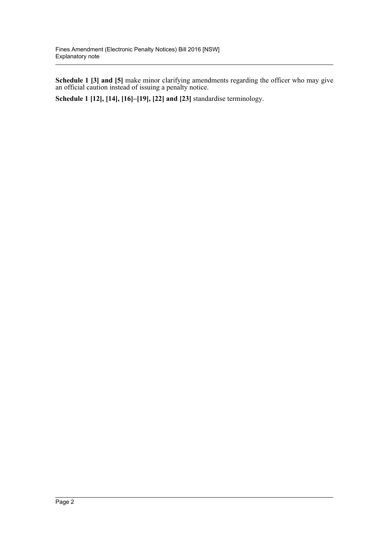**Schedule 1 [3] and [5]** make minor clarifying amendments regarding the officer who may give an official caution instead of issuing a penalty notice.

**Schedule 1 [12], [14], [16]–[19], [22] and [23]** standardise terminology.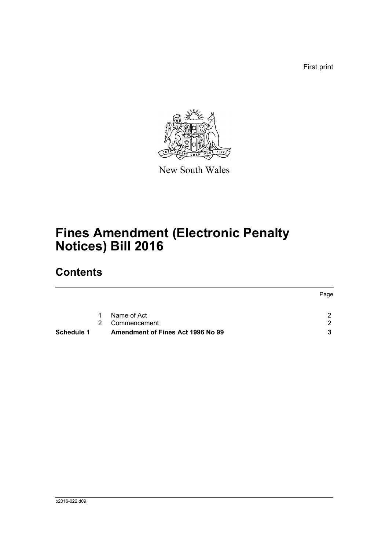First print



New South Wales

# **Fines Amendment (Electronic Penalty Notices) Bill 2016**

### **Contents**

|            |               |                                   | Page          |
|------------|---------------|-----------------------------------|---------------|
|            |               |                                   |               |
|            | $1 \quad$     | Name of Act                       |               |
|            | $\mathcal{P}$ | Commencement                      | $\mathcal{P}$ |
| Schedule 1 |               | Amendment of Fines Act 1996 No 99 |               |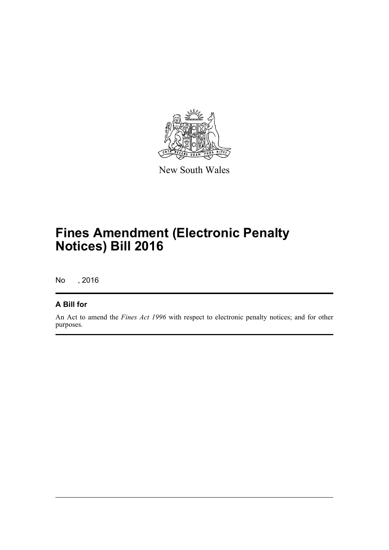

New South Wales

# **Fines Amendment (Electronic Penalty Notices) Bill 2016**

No , 2016

#### **A Bill for**

An Act to amend the *Fines Act 1996* with respect to electronic penalty notices; and for other purposes.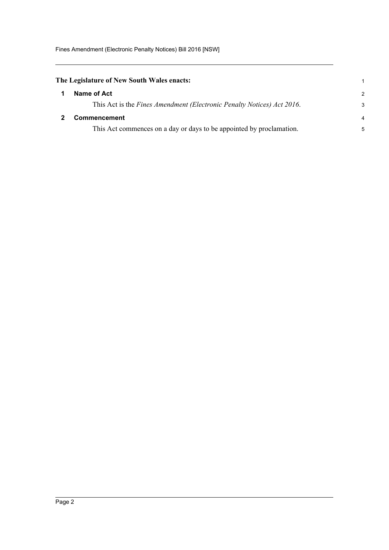Fines Amendment (Electronic Penalty Notices) Bill 2016 [NSW]

<span id="page-4-1"></span><span id="page-4-0"></span>

| The Legislature of New South Wales enacts: |                                                                        |                |
|--------------------------------------------|------------------------------------------------------------------------|----------------|
|                                            | Name of Act                                                            | $\mathcal{P}$  |
|                                            | This Act is the Fines Amendment (Electronic Penalty Notices) Act 2016. | 3              |
|                                            | <b>Commencement</b>                                                    | $\overline{4}$ |
|                                            | This Act commences on a day or days to be appointed by proclamation.   | 5              |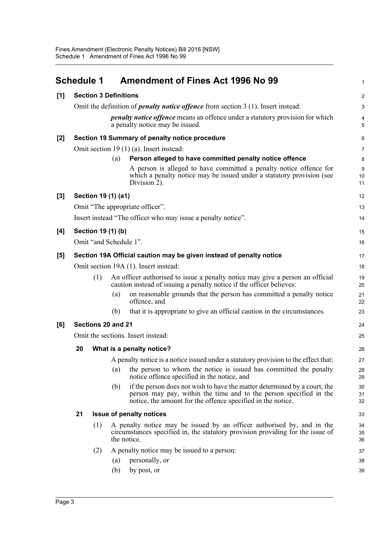<span id="page-5-0"></span>

|     | <b>Schedule 1</b>                  |                        |     | <b>Amendment of Fines Act 1996 No 99</b>                                                                                                                                                                       | 1                   |
|-----|------------------------------------|------------------------|-----|----------------------------------------------------------------------------------------------------------------------------------------------------------------------------------------------------------------|---------------------|
| [1] | <b>Section 3 Definitions</b>       |                        |     |                                                                                                                                                                                                                |                     |
|     |                                    |                        |     | Omit the definition of <i>penalty notice offence</i> from section 3 (1). Insert instead:                                                                                                                       | 3                   |
|     |                                    |                        |     | <i>penalty notice offence</i> means an offence under a statutory provision for which<br>a penalty notice may be issued.                                                                                        | $\overline{4}$<br>5 |
| [2] |                                    |                        |     | Section 19 Summary of penalty notice procedure                                                                                                                                                                 | 6                   |
|     |                                    |                        |     | Omit section 19 (1) (a). Insert instead:                                                                                                                                                                       | 7                   |
|     |                                    |                        | (a) | Person alleged to have committed penalty notice offence                                                                                                                                                        | 8                   |
|     |                                    |                        |     | A person is alleged to have committed a penalty notice offence for<br>which a penalty notice may be issued under a statutory provision (see<br>Division 2).                                                    | 9<br>10<br>11       |
| [3] |                                    | Section 19 (1) (a1)    |     |                                                                                                                                                                                                                | 12                  |
|     |                                    |                        |     | Omit "The appropriate officer".                                                                                                                                                                                | 13                  |
|     |                                    |                        |     | Insert instead "The officer who may issue a penalty notice".                                                                                                                                                   | 14                  |
| [4] |                                    | Section 19 (1) (b)     |     |                                                                                                                                                                                                                | 15                  |
|     |                                    | Omit "and Schedule 1". |     |                                                                                                                                                                                                                | 16                  |
| [5] |                                    |                        |     | Section 19A Official caution may be given instead of penalty notice                                                                                                                                            | 17                  |
|     |                                    |                        |     | Omit section 19A (1). Insert instead:                                                                                                                                                                          | 18                  |
|     |                                    | (1)                    |     | An officer authorised to issue a penalty notice may give a person an official<br>caution instead of issuing a penalty notice if the officer believes:                                                          | 19<br>20            |
|     |                                    |                        | (a) | on reasonable grounds that the person has committed a penalty notice<br>offence, and                                                                                                                           | 21<br>22            |
|     |                                    |                        | (b) | that it is appropriate to give an official caution in the circumstances.                                                                                                                                       | 23                  |
| [6] |                                    | Sections 20 and 21     |     |                                                                                                                                                                                                                | 24                  |
|     | Omit the sections. Insert instead: |                        |     | 25                                                                                                                                                                                                             |                     |
|     | 20                                 |                        |     | What is a penalty notice?                                                                                                                                                                                      | 26                  |
|     |                                    |                        |     | A penalty notice is a notice issued under a statutory provision to the effect that:                                                                                                                            | 27                  |
|     |                                    |                        | (a) | the person to whom the notice is issued has committed the penalty<br>notice offence specified in the notice, and                                                                                               | 28<br>29            |
|     |                                    |                        | (b) | if the person does not wish to have the matter determined by a court, the<br>person may pay, within the time and to the person specified in the<br>notice, the amount for the offence specified in the notice. | 30<br>31<br>32      |
|     | 21                                 |                        |     | <b>Issue of penalty notices</b>                                                                                                                                                                                | 33                  |
|     | (1)                                |                        |     | A penalty notice may be issued by an officer authorised by, and in the<br>circumstances specified in, the statutory provision providing for the issue of<br>the notice.                                        | 34<br>35<br>36      |
|     |                                    | (2)                    |     | A penalty notice may be issued to a person:                                                                                                                                                                    | 37                  |
|     |                                    |                        | (a) | personally, or                                                                                                                                                                                                 | 38                  |
|     |                                    |                        | (b) | by post, or                                                                                                                                                                                                    | 39                  |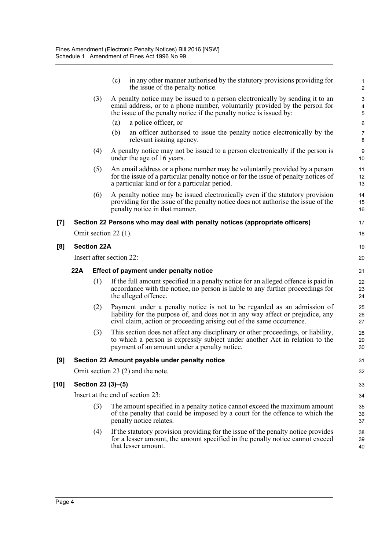|            |     |                    | in any other manner authorised by the statutory provisions providing for<br>(c)<br>the issue of the penalty notice.                                                                                                                 | $\mathbf{1}$<br>$\overline{\mathbf{c}}$ |
|------------|-----|--------------------|-------------------------------------------------------------------------------------------------------------------------------------------------------------------------------------------------------------------------------------|-----------------------------------------|
|            |     | (3)                | A penalty notice may be issued to a person electronically by sending it to an<br>email address, or to a phone number, voluntarily provided by the person for<br>the issue of the penalty notice if the penalty notice is issued by: | 3<br>4<br>5                             |
|            |     |                    | a police officer, or<br>(a)                                                                                                                                                                                                         | 6                                       |
|            |     |                    | (b)<br>an officer authorised to issue the penalty notice electronically by the<br>relevant issuing agency.                                                                                                                          | $\overline{7}$<br>8                     |
|            |     | (4)                | A penalty notice may not be issued to a person electronically if the person is<br>under the age of 16 years.                                                                                                                        | 9<br>10                                 |
|            |     | (5)                | An email address or a phone number may be voluntarily provided by a person<br>for the issue of a particular penalty notice or for the issue of penalty notices of<br>a particular kind or for a particular period.                  | 11<br>12<br>13                          |
|            |     | (6)                | A penalty notice may be issued electronically even if the statutory provision<br>providing for the issue of the penalty notice does not authorise the issue of the<br>penalty notice in that manner.                                | 14<br>15<br>16                          |
| [7]        |     |                    | Section 22 Persons who may deal with penalty notices (appropriate officers)                                                                                                                                                         | 17                                      |
|            |     |                    | Omit section 22 $(1)$ .                                                                                                                                                                                                             | 18                                      |
| [8]        |     | <b>Section 22A</b> |                                                                                                                                                                                                                                     | 19                                      |
|            |     |                    | Insert after section 22:                                                                                                                                                                                                            | 20                                      |
|            | 22A |                    | Effect of payment under penalty notice                                                                                                                                                                                              | 21                                      |
|            |     | (1)                | If the full amount specified in a penalty notice for an alleged offence is paid in<br>accordance with the notice, no person is liable to any further proceedings for<br>the alleged offence.                                        | 22<br>23<br>24                          |
|            |     | (2)                | Payment under a penalty notice is not to be regarded as an admission of<br>liability for the purpose of, and does not in any way affect or prejudice, any                                                                           | 25<br>26<br>27                          |
|            |     |                    | civil claim, action or proceeding arising out of the same occurrence.                                                                                                                                                               |                                         |
|            |     | (3)                | This section does not affect any disciplinary or other proceedings, or liability,<br>to which a person is expressly subject under another Act in relation to the<br>payment of an amount under a penalty notice.                    | 28<br>29<br>30                          |
|            |     |                    | Section 23 Amount payable under penalty notice                                                                                                                                                                                      | 31                                      |
|            |     |                    | Omit section 23 (2) and the note.                                                                                                                                                                                                   | 32                                      |
|            |     |                    | Section 23 (3)–(5)                                                                                                                                                                                                                  | 33                                      |
|            |     |                    | Insert at the end of section 23:                                                                                                                                                                                                    | 34                                      |
| [9]<br>10] |     | (3)                | The amount specified in a penalty notice cannot exceed the maximum amount<br>of the penalty that could be imposed by a court for the offence to which the<br>penalty notice relates.                                                | 35<br>36<br>37                          |
|            |     | (4)                | If the statutory provision providing for the issue of the penalty notice provides<br>for a lesser amount, the amount specified in the penalty notice cannot exceed<br>that lesser amount.                                           | 38<br>39<br>40                          |

[10]

**[8]**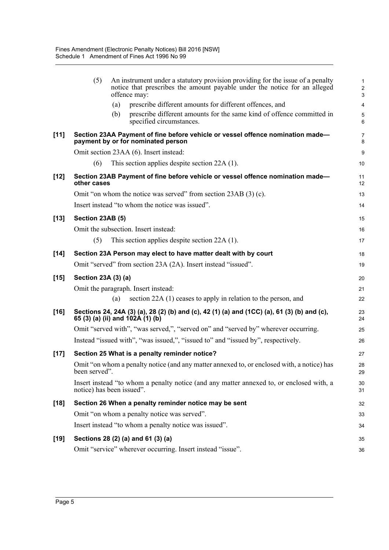|        | (5)                                                             |     | An instrument under a statutory provision providing for the issue of a penalty<br>notice that prescribes the amount payable under the notice for an alleged<br>offence may: | $\mathbf{1}$<br>$\overline{c}$<br>3 |
|--------|-----------------------------------------------------------------|-----|-----------------------------------------------------------------------------------------------------------------------------------------------------------------------------|-------------------------------------|
|        |                                                                 | (a) | prescribe different amounts for different offences, and                                                                                                                     | $\overline{4}$                      |
|        |                                                                 | (b) | prescribe different amounts for the same kind of offence committed in<br>specified circumstances.                                                                           | 5<br>6                              |
| $[11]$ |                                                                 |     | Section 23AA Payment of fine before vehicle or vessel offence nomination made-<br>payment by or for nominated person                                                        | 7<br>8                              |
|        |                                                                 |     | Omit section 23AA (6). Insert instead:                                                                                                                                      | $\boldsymbol{9}$                    |
|        | (6)                                                             |     | This section applies despite section 22A (1).                                                                                                                               | 10                                  |
| $[12]$ | other cases                                                     |     | Section 23AB Payment of fine before vehicle or vessel offence nomination made-                                                                                              | 11<br>12                            |
|        |                                                                 |     | Omit "on whom the notice was served" from section 23AB (3) (c).                                                                                                             | 13                                  |
|        |                                                                 |     | Insert instead "to whom the notice was issued".                                                                                                                             | 14                                  |
| $[13]$ | Section 23AB (5)                                                |     |                                                                                                                                                                             | 15                                  |
|        |                                                                 |     | Omit the subsection. Insert instead:                                                                                                                                        | 16                                  |
|        | (5)                                                             |     | This section applies despite section $22A(1)$ .                                                                                                                             | 17                                  |
| $[14]$ | Section 23A Person may elect to have matter dealt with by court |     |                                                                                                                                                                             |                                     |
|        |                                                                 |     | Omit "served" from section 23A (2A). Insert instead "issued".                                                                                                               | 19                                  |
| $[15]$ | Section 23A (3) (a)                                             |     |                                                                                                                                                                             | 20                                  |
|        |                                                                 |     | Omit the paragraph. Insert instead:                                                                                                                                         | 21                                  |
|        |                                                                 | (a) | section 22A (1) ceases to apply in relation to the person, and                                                                                                              | 22                                  |
| $[16]$ |                                                                 |     | Sections 24, 24A (3) (a), 28 (2) (b) and (c), 42 (1) (a) and (1CC) (a), 61 (3) (b) and (c),<br>65 (3) (a) (ii) and 102A (1) (b)                                             | 23<br>24                            |
|        |                                                                 |     | Omit "served with", "was served,", "served on" and "served by" wherever occurring.                                                                                          | 25                                  |
|        |                                                                 |     | Instead "issued with", "was issued,", "issued to" and "issued by", respectively.                                                                                            | 26                                  |
| $[17]$ |                                                                 |     | Section 25 What is a penalty reminder notice?                                                                                                                               | 27                                  |
|        | been served".                                                   |     | Omit "on whom a penalty notice (and any matter annexed to, or enclosed with, a notice) has                                                                                  | 28<br>29                            |
|        | notice) has been issued".                                       |     | Insert instead "to whom a penalty notice (and any matter annexed to, or enclosed with, a                                                                                    | 30<br>31                            |
| $[18]$ |                                                                 |     | Section 26 When a penalty reminder notice may be sent                                                                                                                       | 32                                  |
|        |                                                                 |     | Omit "on whom a penalty notice was served".                                                                                                                                 | 33                                  |
|        |                                                                 |     | Insert instead "to whom a penalty notice was issued".                                                                                                                       | 34                                  |
| $[19]$ |                                                                 |     | Sections 28 (2) (a) and 61 (3) (a)                                                                                                                                          | 35                                  |
|        |                                                                 |     | Omit "service" wherever occurring. Insert instead "issue".                                                                                                                  | 36                                  |
|        |                                                                 |     |                                                                                                                                                                             |                                     |